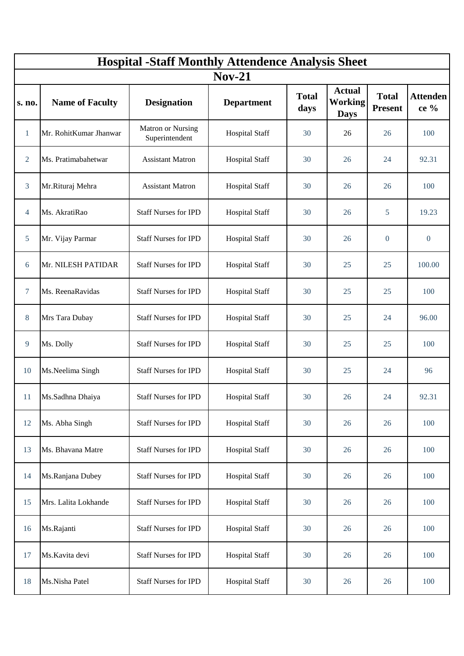| <b>Hospital -Staff Monthly Attendence Analysis Sheet</b> |                        |                                     |                       |                      |                                                |                                |                         |
|----------------------------------------------------------|------------------------|-------------------------------------|-----------------------|----------------------|------------------------------------------------|--------------------------------|-------------------------|
| $Nov-21$                                                 |                        |                                     |                       |                      |                                                |                                |                         |
| s. no.                                                   | <b>Name of Faculty</b> | <b>Designation</b>                  | <b>Department</b>     | <b>Total</b><br>days | <b>Actual</b><br><b>Working</b><br><b>Days</b> | <b>Total</b><br><b>Present</b> | <b>Attenden</b><br>ce % |
| $\mathbf{1}$                                             | Mr. RohitKumar Jhanwar | Matron or Nursing<br>Superintendent | <b>Hospital Staff</b> | 30                   | 26                                             | 26                             | 100                     |
| $\overline{2}$                                           | Ms. Pratimabahetwar    | <b>Assistant Matron</b>             | <b>Hospital Staff</b> | 30                   | 26                                             | 24                             | 92.31                   |
| $\overline{3}$                                           | Mr.Rituraj Mehra       | <b>Assistant Matron</b>             | <b>Hospital Staff</b> | 30                   | 26                                             | 26                             | 100                     |
| $\overline{4}$                                           | Ms. AkratiRao          | <b>Staff Nurses for IPD</b>         | <b>Hospital Staff</b> | 30                   | 26                                             | 5                              | 19.23                   |
| $5\phantom{.0}$                                          | Mr. Vijay Parmar       | <b>Staff Nurses for IPD</b>         | <b>Hospital Staff</b> | 30                   | 26                                             | $\overline{0}$                 | $\overline{0}$          |
| 6                                                        | Mr. NILESH PATIDAR     | <b>Staff Nurses for IPD</b>         | <b>Hospital Staff</b> | 30                   | 25                                             | 25                             | 100.00                  |
| $\tau$                                                   | Ms. ReenaRavidas       | <b>Staff Nurses for IPD</b>         | <b>Hospital Staff</b> | 30                   | 25                                             | 25                             | 100                     |
| 8                                                        | Mrs Tara Dubay         | <b>Staff Nurses for IPD</b>         | <b>Hospital Staff</b> | 30                   | 25                                             | 24                             | 96.00                   |
| 9                                                        | Ms. Dolly              | <b>Staff Nurses for IPD</b>         | <b>Hospital Staff</b> | 30                   | 25                                             | 25                             | 100                     |
| 10                                                       | Ms.Neelima Singh       | <b>Staff Nurses for IPD</b>         | <b>Hospital Staff</b> | 30                   | 25                                             | 24                             | 96                      |
| 11                                                       | Ms.Sadhna Dhaiya       | <b>Staff Nurses for IPD</b>         | Hospital Staff        | 30                   | 26                                             | 24                             | 92.31                   |
| 12                                                       | Ms. Abha Singh         | <b>Staff Nurses for IPD</b>         | <b>Hospital Staff</b> | 30                   | 26                                             | 26                             | 100                     |
| 13                                                       | Ms. Bhavana Matre      | <b>Staff Nurses for IPD</b>         | <b>Hospital Staff</b> | 30                   | 26                                             | 26                             | 100                     |
| 14                                                       | Ms.Ranjana Dubey       | <b>Staff Nurses for IPD</b>         | <b>Hospital Staff</b> | 30                   | 26                                             | 26                             | 100                     |
| 15                                                       | Mrs. Lalita Lokhande   | <b>Staff Nurses for IPD</b>         | <b>Hospital Staff</b> | 30                   | 26                                             | 26                             | 100                     |
| 16                                                       | Ms.Rajanti             | <b>Staff Nurses for IPD</b>         | <b>Hospital Staff</b> | 30                   | 26                                             | 26                             | 100                     |
| 17                                                       | Ms.Kavita devi         | <b>Staff Nurses for IPD</b>         | <b>Hospital Staff</b> | 30                   | 26                                             | 26                             | 100                     |
| 18                                                       | Ms.Nisha Patel         | <b>Staff Nurses for IPD</b>         | <b>Hospital Staff</b> | 30                   | 26                                             | 26                             | 100                     |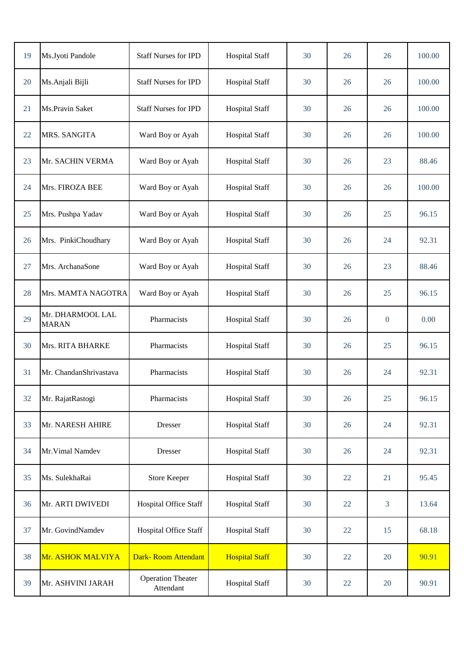| 19 | Ms.Jyoti Pandole                 | <b>Staff Nurses for IPD</b>           | <b>Hospital Staff</b> | 30 | 26 | 26             | 100.00 |
|----|----------------------------------|---------------------------------------|-----------------------|----|----|----------------|--------|
| 20 | Ms.Anjali Bijli                  | <b>Staff Nurses for IPD</b>           | <b>Hospital Staff</b> | 30 | 26 | 26             | 100.00 |
| 21 | Ms.Pravin Saket                  | <b>Staff Nurses for IPD</b>           | <b>Hospital Staff</b> | 30 | 26 | 26             | 100.00 |
| 22 | MRS. SANGITA                     | Ward Boy or Ayah                      | <b>Hospital Staff</b> | 30 | 26 | 26             | 100.00 |
| 23 | Mr. SACHIN VERMA                 | Ward Boy or Ayah                      | <b>Hospital Staff</b> | 30 | 26 | 23             | 88.46  |
| 24 | Mrs. FIROZA BEE                  | Ward Boy or Ayah                      | <b>Hospital Staff</b> | 30 | 26 | 26             | 100.00 |
| 25 | Mrs. Pushpa Yadav                | Ward Boy or Ayah                      | <b>Hospital Staff</b> | 30 | 26 | 25             | 96.15  |
| 26 | Mrs. PinkiChoudhary              | Ward Boy or Ayah                      | <b>Hospital Staff</b> | 30 | 26 | 24             | 92.31  |
| 27 | Mrs. ArchanaSone                 | Ward Boy or Ayah                      | <b>Hospital Staff</b> | 30 | 26 | 23             | 88.46  |
| 28 | Mrs. MAMTA NAGOTRA               | Ward Boy or Ayah                      | <b>Hospital Staff</b> | 30 | 26 | 25             | 96.15  |
| 29 | Mr. DHARMOOL LAL<br><b>MARAN</b> | Pharmacists                           | <b>Hospital Staff</b> | 30 | 26 | $\overline{0}$ | 0.00   |
| 30 | Mrs. RITA BHARKE                 | Pharmacists                           | <b>Hospital Staff</b> | 30 | 26 | 25             | 96.15  |
| 31 | Mr. ChandanShrivastava           | Pharmacists                           | <b>Hospital Staff</b> | 30 | 26 | 24             | 92.31  |
| 32 | Mr. RajatRastogi                 | Pharmacists                           | <b>Hospital Staff</b> | 30 | 26 | 25             | 96.15  |
| 33 | Mr. NARESH AHIRE                 | Dresser                               | <b>Hospital Staff</b> | 30 | 26 | 24             | 92.31  |
| 34 | Mr. Vimal Namdev                 | <b>Dresser</b>                        | <b>Hospital Staff</b> | 30 | 26 | 24             | 92.31  |
| 35 | Ms. SulekhaRai                   | <b>Store Keeper</b>                   | <b>Hospital Staff</b> | 30 | 22 | 21             | 95.45  |
| 36 | Mr. ARTI DWIVEDI                 | Hospital Office Staff                 | <b>Hospital Staff</b> | 30 | 22 | 3              | 13.64  |
| 37 | Mr. GovindNamdev                 | Hospital Office Staff                 | <b>Hospital Staff</b> | 30 | 22 | 15             | 68.18  |
| 38 | Mr. ASHOK MALVIYA                | Dark-Room Attendant                   | <b>Hospital Staff</b> | 30 | 22 | 20             | 90.91  |
| 39 | Mr. ASHVINI JARAH                | <b>Operation Theater</b><br>Attendant | <b>Hospital Staff</b> | 30 | 22 | 20             | 90.91  |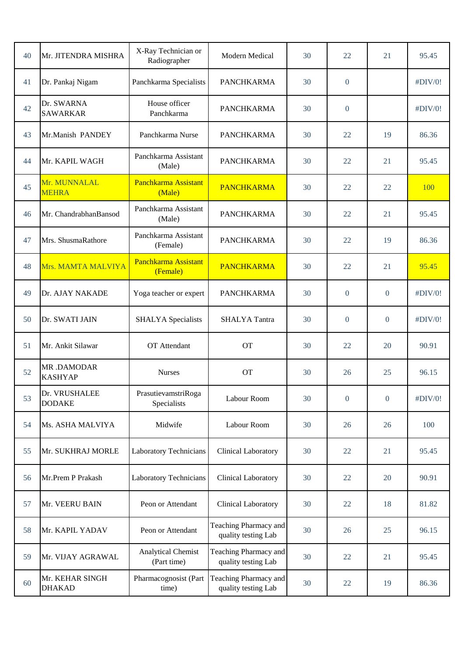| 40 | Mr. JITENDRA MISHRA              | X-Ray Technician or<br>Radiographer      | Modern Medical                               | 30 | 22             | 21               | 95.45   |
|----|----------------------------------|------------------------------------------|----------------------------------------------|----|----------------|------------------|---------|
| 41 | Dr. Pankaj Nigam                 | Panchkarma Specialists                   | <b>PANCHKARMA</b>                            | 30 | $\overline{0}$ |                  | #DIV/0! |
| 42 | Dr. SWARNA<br><b>SAWARKAR</b>    | House officer<br>Panchkarma              | <b>PANCHKARMA</b>                            | 30 | $\theta$       |                  | #DIV/0! |
| 43 | Mr.Manish PANDEY                 | Panchkarma Nurse                         | <b>PANCHKARMA</b>                            | 30 | 22             | 19               | 86.36   |
| 44 | Mr. KAPIL WAGH                   | Panchkarma Assistant<br>(Male)           | <b>PANCHKARMA</b>                            | 30 | 22             | 21               | 95.45   |
| 45 | Mr. MUNNALAL<br><b>MEHRA</b>     | Panchkarma Assistant<br>(Male)           | <b>PANCHKARMA</b>                            | 30 | 22             | 22               | 100     |
| 46 | Mr. ChandrabhanBansod            | Panchkarma Assistant<br>(Male)           | <b>PANCHKARMA</b>                            | 30 | 22             | 21               | 95.45   |
| 47 | Mrs. ShusmaRathore               | Panchkarma Assistant<br>(Female)         | <b>PANCHKARMA</b>                            | 30 | 22             | 19               | 86.36   |
| 48 | Mrs. MAMTA MALVIYA               | Panchkarma Assistant<br>(Female)         | <b>PANCHKARMA</b>                            | 30 | 22             | 21               | 95.45   |
| 49 | Dr. AJAY NAKADE                  | Yoga teacher or expert                   | <b>PANCHKARMA</b>                            | 30 | $\theta$       | $\overline{0}$   | #DIV/0! |
| 50 | Dr. SWATI JAIN                   | <b>SHALYA</b> Specialists                | <b>SHALYA Tantra</b>                         | 30 | $\overline{0}$ | $\overline{0}$   | #DIV/0! |
| 51 | Mr. Ankit Silawar                | OT Attendant                             | <b>OT</b>                                    | 30 | 22             | 20               | 90.91   |
| 52 | MR.DAMODAR<br><b>KASHYAP</b>     | <b>Nurses</b>                            | <b>OT</b>                                    | 30 | 26             | 25               | 96.15   |
| 53 | Dr. VRUSHALEE<br><b>DODAKE</b>   | PrasutievamstriRoga<br>Specialists       | Labour Room                                  | 30 | $\overline{0}$ | $\boldsymbol{0}$ | #DIV/0! |
| 54 | Ms. ASHA MALVIYA                 | Midwife                                  | Labour Room                                  | 30 | 26             | 26               | 100     |
| 55 | Mr. SUKHRAJ MORLE                | <b>Laboratory Technicians</b>            | Clinical Laboratory                          | 30 | 22             | 21               | 95.45   |
| 56 | Mr.Prem P Prakash                | <b>Laboratory Technicians</b>            | Clinical Laboratory                          | 30 | 22             | 20               | 90.91   |
| 57 | Mr. VEERU BAIN                   | Peon or Attendant                        | Clinical Laboratory                          | 30 | 22             | 18               | 81.82   |
| 58 | Mr. KAPIL YADAV                  | Peon or Attendant                        | Teaching Pharmacy and<br>quality testing Lab | 30 | 26             | 25               | 96.15   |
| 59 | Mr. VIJAY AGRAWAL                | <b>Analytical Chemist</b><br>(Part time) | Teaching Pharmacy and<br>quality testing Lab | 30 | 22             | 21               | 95.45   |
| 60 | Mr. KEHAR SINGH<br><b>DHAKAD</b> | Pharmacognosist (Part<br>time)           | Teaching Pharmacy and<br>quality testing Lab | 30 | 22             | 19               | 86.36   |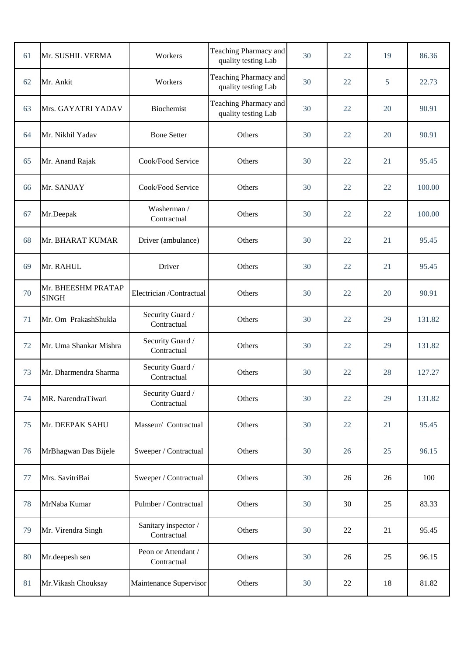| 61 | Mr. SUSHIL VERMA                   | Workers                             | Teaching Pharmacy and<br>quality testing Lab | 30 | 22 | 19 | 86.36  |
|----|------------------------------------|-------------------------------------|----------------------------------------------|----|----|----|--------|
| 62 | Mr. Ankit                          | Workers                             | Teaching Pharmacy and<br>quality testing Lab | 30 | 22 | 5  | 22.73  |
| 63 | Mrs. GAYATRI YADAV                 | Biochemist                          | Teaching Pharmacy and<br>quality testing Lab | 30 | 22 | 20 | 90.91  |
| 64 | Mr. Nikhil Yadav                   | <b>Bone Setter</b>                  | Others                                       | 30 | 22 | 20 | 90.91  |
| 65 | Mr. Anand Rajak                    | Cook/Food Service                   | Others                                       | 30 | 22 | 21 | 95.45  |
| 66 | Mr. SANJAY                         | Cook/Food Service                   | Others                                       | 30 | 22 | 22 | 100.00 |
| 67 | Mr.Deepak                          | Washerman /<br>Contractual          | Others                                       | 30 | 22 | 22 | 100.00 |
| 68 | Mr. BHARAT KUMAR                   | Driver (ambulance)                  | Others                                       | 30 | 22 | 21 | 95.45  |
| 69 | Mr. RAHUL                          | Driver                              | Others                                       | 30 | 22 | 21 | 95.45  |
| 70 | Mr. BHEESHM PRATAP<br><b>SINGH</b> | Electrician /Contractual            | Others                                       | 30 | 22 | 20 | 90.91  |
| 71 | Mr. Om PrakashShukla               | Security Guard /<br>Contractual     | Others                                       | 30 | 22 | 29 | 131.82 |
| 72 | Mr. Uma Shankar Mishra             | Security Guard /<br>Contractual     | Others                                       | 30 | 22 | 29 | 131.82 |
| 73 | Mr. Dharmendra Sharma              | Security Guard /<br>Contractual     | Others                                       | 30 | 22 | 28 | 127.27 |
| 74 | MR. NarendraTiwari                 | Security Guard /<br>Contractual     | Others                                       | 30 | 22 | 29 | 131.82 |
| 75 | Mr. DEEPAK SAHU                    | Masseur/ Contractual                | Others                                       | 30 | 22 | 21 | 95.45  |
| 76 | MrBhagwan Das Bijele               | Sweeper / Contractual               | Others                                       | 30 | 26 | 25 | 96.15  |
| 77 | Mrs. SavitriBai                    | Sweeper / Contractual               | Others                                       | 30 | 26 | 26 | 100    |
| 78 | MrNaba Kumar                       | Pulmber / Contractual               | Others                                       | 30 | 30 | 25 | 83.33  |
| 79 | Mr. Virendra Singh                 | Sanitary inspector /<br>Contractual | Others                                       | 30 | 22 | 21 | 95.45  |
| 80 | Mr.deepesh sen                     | Peon or Attendant /<br>Contractual  | Others                                       | 30 | 26 | 25 | 96.15  |
| 81 | Mr. Vikash Chouksay                | Maintenance Supervisor              | Others                                       | 30 | 22 | 18 | 81.82  |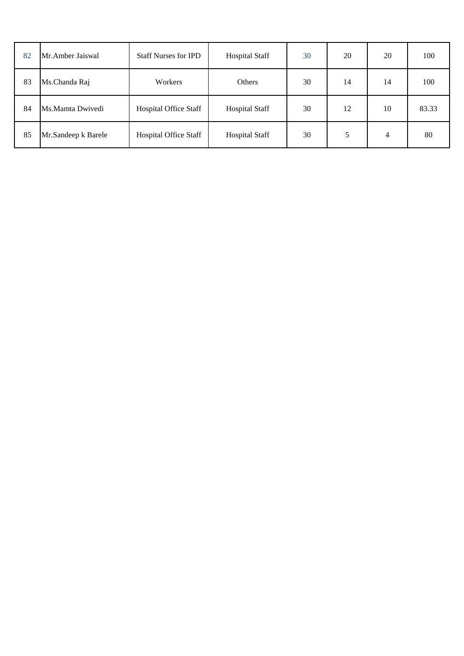| 82 | Mr. Amber Jaiswal   | <b>Staff Nurses for IPD</b>  | <b>Hospital Staff</b> | 30 | 20 | 20 | 100   |
|----|---------------------|------------------------------|-----------------------|----|----|----|-------|
| 83 | Ms.Chanda Raj       | <b>Workers</b>               | Others                | 30 | 14 | 14 | 100   |
| 84 | Ms.Mamta Dwivedi    | <b>Hospital Office Staff</b> | <b>Hospital Staff</b> | 30 | 12 | 10 | 83.33 |
| 85 | Mr.Sandeep k Barele | <b>Hospital Office Staff</b> | <b>Hospital Staff</b> | 30 |    | 4  | 80    |